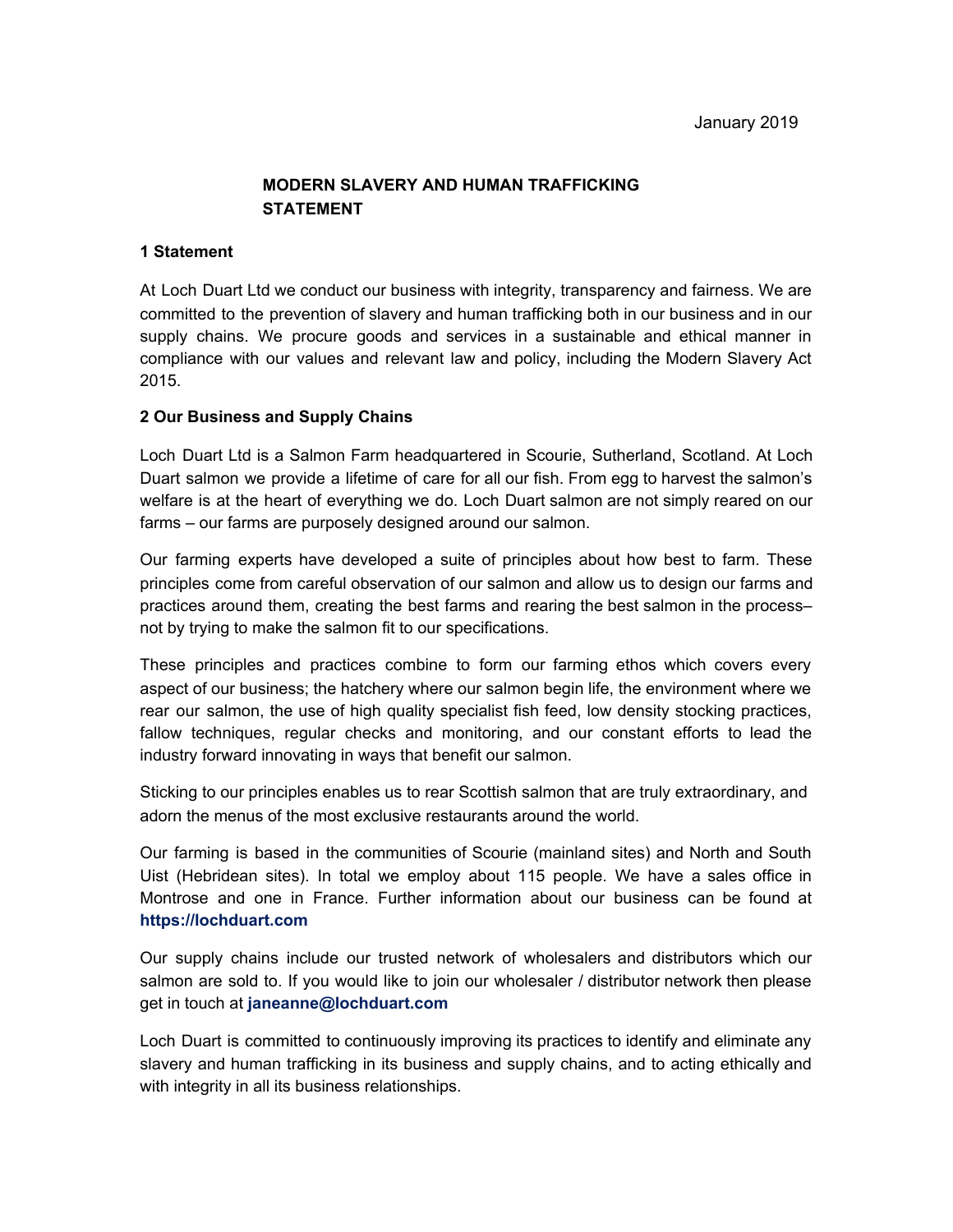# **MODERN SLAVERY AND HUMAN TRAFFICKING STATEMENT**

#### **1 Statement**

At Loch Duart Ltd we conduct our business with integrity, transparency and fairness. We are committed to the prevention of slavery and human trafficking both in our business and in our supply chains. We procure goods and services in a sustainable and ethical manner in compliance with our values and relevant law and policy, including the Modern Slavery Act 2015.

### **2 Our Business and Supply Chains**

Loch Duart Ltd is a Salmon Farm headquartered in Scourie, Sutherland, Scotland. At Loch Duart salmon we provide a lifetime of care for all our fish. From egg to harvest the salmon's welfare is at the heart of everything we do. Loch Duart salmon are not simply reared on our farms – our farms are purposely designed around our salmon.

Our farming experts have developed a suite of principles about how best to farm. These principles come from careful observation of our salmon and allow us to design our farms and practices around them, creating the best farms and rearing the best salmon in the process– not by trying to make the salmon fit to our specifications.

These principles and practices combine to form our farming ethos which covers every aspect of our business; the hatchery where our salmon begin life, the environment where we rear our salmon, the use of high quality specialist fish feed, low density stocking practices, fallow techniques, regular checks and monitoring, and our constant efforts to lead the industry forward innovating in ways that benefit our salmon.

Sticking to our principles enables us to rear Scottish salmon that are truly extraordinary, and adorn the menus of the most exclusive restaurants around the world.

Our farming is based in the communities of Scourie (mainland sites) and North and South Uist (Hebridean sites). In total we employ about 115 people. We have a sales office in Montrose and one in France. Further information about our business can be found at **https://lochduart.com**

Our supply chains include our trusted network of wholesalers and distributors which our salmon are sold to. If you would like to join our wholesaler / distributor network then please get in touch at **janeanne@lochduart.com**

Loch Duart is committed to continuously improving its practices to identify and eliminate any slavery and human trafficking in its business and supply chains, and to acting ethically and with integrity in all its business relationships.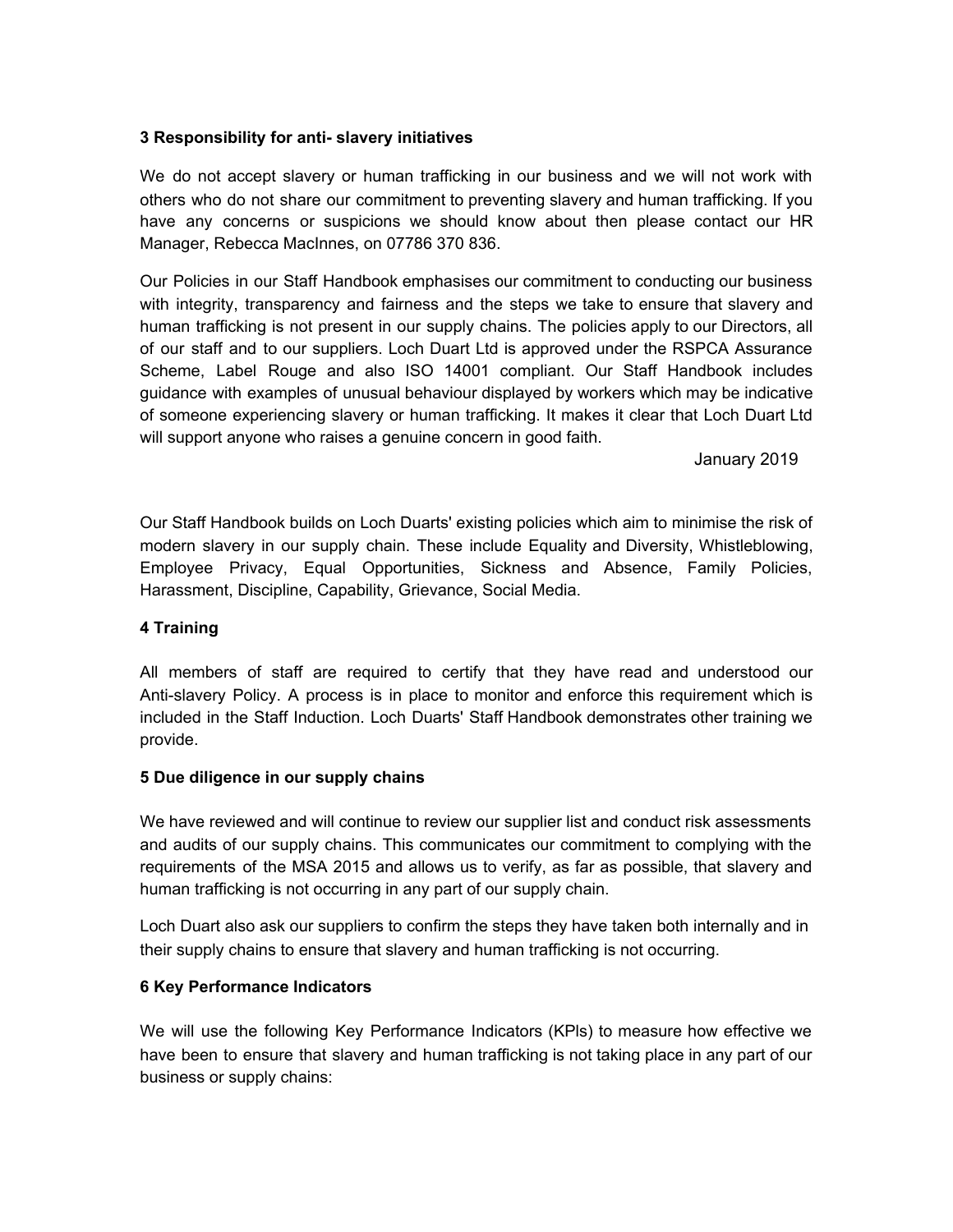### **3 Responsibility for anti- slavery initiatives**

We do not accept slavery or human trafficking in our business and we will not work with others who do not share our commitment to preventing slavery and human trafficking. If you have any concerns or suspicions we should know about then please contact our HR Manager, Rebecca MacInnes, on 07786 370 836.

Our Policies in our Staff Handbook emphasises our commitment to conducting our business with integrity, transparency and fairness and the steps we take to ensure that slavery and human trafficking is not present in our supply chains. The policies apply to our Directors, all of our staff and to our suppliers. Loch Duart Ltd is approved under the RSPCA Assurance Scheme, Label Rouge and also ISO 14001 compliant. Our Staff Handbook includes guidance with examples of unusual behaviour displayed by workers which may be indicative of someone experiencing slavery or human trafficking. It makes it clear that Loch Duart Ltd will support anyone who raises a genuine concern in good faith.

January 2019

Our Staff Handbook builds on Loch Duarts' existing policies which aim to minimise the risk of modern slavery in our supply chain. These include Equality and Diversity, Whistleblowing, Employee Privacy, Equal Opportunities, Sickness and Absence, Family Policies, Harassment, Discipline, Capability, Grievance, Social Media.

## **4 Training**

All members of staff are required to certify that they have read and understood our Anti-slavery Policy. A process is in place to monitor and enforce this requirement which is included in the Staff Induction. Loch Duarts' Staff Handbook demonstrates other training we provide.

#### **5 Due diligence in our supply chains**

We have reviewed and will continue to review our supplier list and conduct risk assessments and audits of our supply chains. This communicates our commitment to complying with the requirements of the MSA 2015 and allows us to verify, as far as possible, that slavery and human trafficking is not occurring in any part of our supply chain.

Loch Duart also ask our suppliers to confirm the steps they have taken both internally and in their supply chains to ensure that slavery and human trafficking is not occurring.

## **6 Key Performance Indicators**

We will use the following Key Performance Indicators (KPls) to measure how effective we have been to ensure that slavery and human trafficking is not taking place in any part of our business or supply chains: